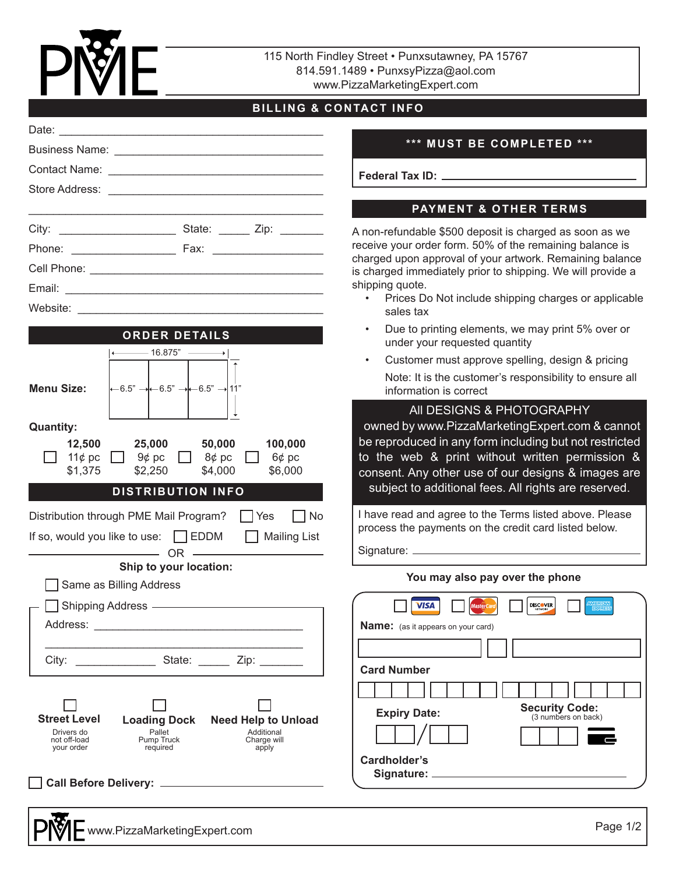

115 North Findley Street • Punxsutawney, PA 15767 814.591.1489 • PunxsyPizza@aol.com www.PizzaMarketingExpert.com

# **BILLING & CONTACT INFO**

|                                                                                                                                                                                                | *** MUST BE 0                                                                                                                                                                         |
|------------------------------------------------------------------------------------------------------------------------------------------------------------------------------------------------|---------------------------------------------------------------------------------------------------------------------------------------------------------------------------------------|
|                                                                                                                                                                                                | Federal Tax ID: ________                                                                                                                                                              |
|                                                                                                                                                                                                |                                                                                                                                                                                       |
|                                                                                                                                                                                                | PAYMENT &                                                                                                                                                                             |
|                                                                                                                                                                                                | A non-refundable \$500 depos<br>receive your order form. 50%<br>charged upon approval of you<br>is charged immediately prior<br>shipping quote.<br>Prices Do Not include<br>sales tax |
| <b>ORDER DETAILS</b><br>$\longleftarrow$ 16.875" $\longrightarrow$<br>$\leftarrow 6.5" \rightarrow \leftarrow 6.5" \rightarrow \leftarrow 6.5" \rightarrow 11"$<br><b>Menu Size:</b>           | Due to printing elemer<br>$\bullet$ .<br>under your requested<br>Customer must approv<br>$\bullet$<br>Note: It is the custome<br>information is correct<br>All DESIGNS &              |
| <b>Quantity:</b><br>100,000<br>12,500<br>25,000 50,000<br>$\Box$ 9¢ pc $\Box$ 8¢ pc<br>11¢ pc<br>$\perp$<br>6¢ pc<br>\$1,375<br>\$2,250<br>\$4,000<br>\$6,000<br><b>DISTRIBUTION INFO</b>      | owned by www.PizzaMa<br>be reproduced in any forn<br>to the web & print witl<br>consent. Any other use o<br>subject to additional fee                                                 |
| $\Box$ No<br>Distribution through PME Mail Program?   Yes<br>If so, would you like to use: BEDDM BI Mailing List<br>$OR$ $\longrightarrow$ OR $\longrightarrow$<br>Ship to your location:      | I have read and agree to the<br>process the payments on th<br>Signature: _________________                                                                                            |
| Same as Billing Address<br>Shipping Address - Shipping Address - Shipping Address - Shipping Shipping Shipping Shipping Shipping Shipping                                                      | You may also pay<br><b>MasterCard</b><br><b>VISA</b><br><b>Name:</b> (as it appears on your card)                                                                                     |
| City: State: Zip:                                                                                                                                                                              | <b>Card Number</b>                                                                                                                                                                    |
| <b>Street Level</b><br><b>Loading Dock</b><br><b>Need Help to Unload</b><br>Pallet<br>Additional<br>Drivers do<br>not off-load<br>Pump Truck<br>Charge will<br>your order<br>required<br>apply | <b>Expiry Date:</b><br>Cardholder's<br>Signature: ___________                                                                                                                         |
|                                                                                                                                                                                                |                                                                                                                                                                                       |

#### **BE COMPLETED \*\*\***

# **PAYMENT & OTHER TERMS**

deposit is charged as soon as we . 50% of the remaining balance is of your artwork. Remaining balance prior to shipping. We will provide a

- clude shipping charges or applicable
- lements, we may print 5% over or ested quantity
- approve spelling, design & pricing stomer's responsibility to ensure all

## **NS & PHOTOGRAPHY**

zaMarketingExpert.com & cannot y form including but not restricted without written permission & use of our designs & images are al fees. All rights are reserved.

to the Terms listed above. Please on the credit card listed below.

#### **So pay over the phone**

 $\neg$  $\Box$ 

| rd Number                |                                              |
|--------------------------|----------------------------------------------|
|                          |                                              |
| <b>Expiry Date:</b>      | <b>Security Code:</b><br>(3 numbers on back) |
|                          |                                              |
| rdholder's<br>Signature: |                                              |
|                          |                                              |

**DISCOVER**